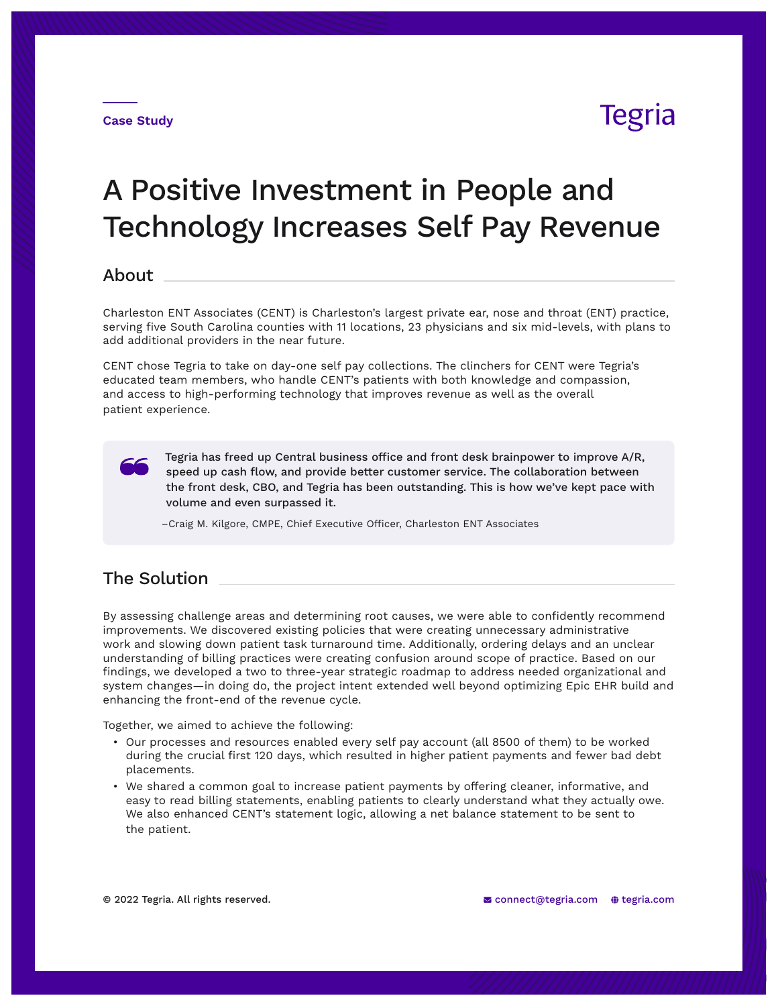

## A Positive Investment in People and Technology Increases Self Pay Revenue

## About

Charleston ENT Associates (CENT) is Charleston's largest private ear, nose and throat (ENT) practice, serving five South Carolina counties with 11 locations, 23 physicians and six mid-levels, with plans to add additional providers in the near future.

CENT chose Tegria to take on day-one self pay collections. The clinchers for CENT were Tegria's educated team members, who handle CENT's patients with both knowledge and compassion, and access to high-performing technology that improves revenue as well as the overall patient experience.

Tegria has freed up Central business office and front desk brainpower to improve A/R, speed up cash flow, and provide better customer service. The collaboration between the front desk, CBO, and Tegria has been outstanding. This is how we've kept pace with volume and even surpassed it.

–Craig M. Kilgore, CMPE, Chief Executive Officer, Charleston ENT Associates

## The Solution

By assessing challenge areas and determining root causes, we were able to confidently recommend improvements. We discovered existing policies that were creating unnecessary administrative work and slowing down patient task turnaround time. Additionally, ordering delays and an unclear understanding of billing practices were creating confusion around scope of practice. Based on our findings, we developed a two to three-year strategic roadmap to address needed organizational and system changes—in doing do, the project intent extended well beyond optimizing Epic EHR build and enhancing the front-end of the revenue cycle.

Together, we aimed to achieve the following:

- Our processes and resources enabled every self pay account (all 8500 of them) to be worked during the crucial first 120 days, which resulted in higher patient payments and fewer bad debt placements.
- We shared a common goal to increase patient payments by offering cleaner, informative, and easy to read billing statements, enabling patients to clearly understand what they actually owe. We also enhanced CENT's statement logic, allowing a net balance statement to be sent to the patient.